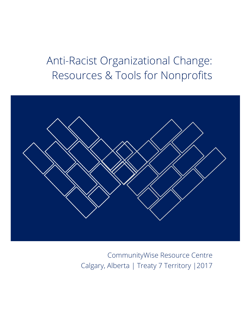# Anti-Racist Organizational Change: Resources & Tools for Nonprofits



CommunityWise Resource Centre Calgary, Alberta | Treaty 7 Territory |2017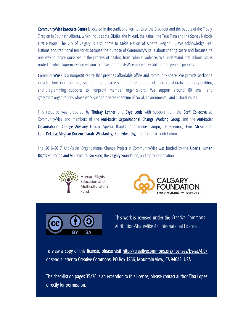CommunityWise Resource Centre is located in the traditional territories of the Blackfoot and the people of the Treaty 7 region in Southern Alberta, which includes the Siksika, the Piikuni, the Kainai, the Tsuu T'ina and the Stoney Nakoda First Nations. The City of Calgary is also home to Métis Nation of Alberta, Region III. We acknowledge First Nations and traditional territories because the purpose of CommunityWise is about sharing space and because it's one way to locate ourselves in the process of healing from colonial violence. We understand that colonialism is rooted in white supremacy and we aim to make CommunityWise more accessible for Indigenous peoples.

CommunityWise is a nonprofit centre that provides affordable office and community space. We provide backbone infrastructure (for example, shared internet access and office equipment) and collaborative capacity-building and programming supports to nonprofit member organizations. We support around 80 small and grassroots organizations whose work spans a diverse spectrum of social, environmental, and cultural issues.

This resource was prepared by Thulasy Lettner and Skye Louis with support from the Staff Collective at CommunityWise and members of the Anti-Racist Organizational Change Working Group and the Anti-Racist Organizational Change Advisory Group. Special thanks to Charlene Campo, Di Honorio, Erin McFarlane, Lori DeLuca, Meghan Durieux, Sarah Winstanley, Son Edworthy, and for their contributions.

The 2016/2017 Anti-Racist Organizational Change Project at CommunityWise was funded by the Alberta Human Rights Education and Multiculturalism Fund, the Calgary Foundation, and a private donation.







This work is licensed under the Creative Commons Attribution-ShareAlike 4.0 International License.

To view a copy of this license, please visit http://creativecommons.org/licenses/by-sa/4.0/ or send a letter to Creative Commons, PO Box 1866, Mountain View, CA 94042, USA.

The checklist on pages 35/36 is an exception to this license; please contact author Tina Lopes directly for permission.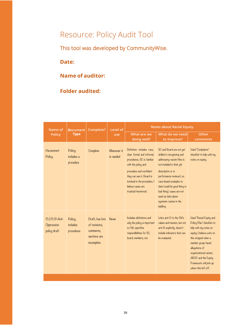# Resource: Policy Audit Tool

This tool was developed by CommunityWise.

**Date:** 

### **Name of auditor:**

### **Folder audited:**

| Name of<br>Policy                            | <b>Document</b><br><b>Type</b>     | Complete?                                                                   | Level of<br>use          | <b>Notes about Racial Equity</b>                                                                                                                                                                                                               |                                                                                                                                                                                                                                                                                                                        |                                                                                                                                                                                                                                                                              |
|----------------------------------------------|------------------------------------|-----------------------------------------------------------------------------|--------------------------|------------------------------------------------------------------------------------------------------------------------------------------------------------------------------------------------------------------------------------------------|------------------------------------------------------------------------------------------------------------------------------------------------------------------------------------------------------------------------------------------------------------------------------------------------------------------------|------------------------------------------------------------------------------------------------------------------------------------------------------------------------------------------------------------------------------------------------------------------------------|
|                                              |                                    |                                                                             |                          | What are we<br>doing well?                                                                                                                                                                                                                     | What do we need<br>to improve?                                                                                                                                                                                                                                                                                         | Other<br>comments                                                                                                                                                                                                                                                            |
| Harassment<br>Policy                         | Policy;<br>includes a<br>procedure | Complete                                                                    | Whenever it<br>is needed | Definition includes race.<br>clear formal and informal<br>procedures, SC is familiar<br>with the policy and<br>procedure and confident<br>they can use it, Board is<br>involved in the procedure, I<br>believe cases are<br>tracked/monitored. | SC and Board are not yet<br>skilled in recognizing and<br>addressing racism (this is<br>not included in their job<br>description or in<br>performance reviews), no<br>race-based examples to<br>date (could be good thing or<br>bad thing), cases are not<br>used as data about<br>systemic racism in the<br>building. | Used "Complaints"<br>checklist to help with my<br>notes on equity.                                                                                                                                                                                                           |
| 15.03.31 Anti-<br>Oppression<br>policy draft | Policy;<br>includes<br>procedures  | Draft; has lots<br>of revisions,<br>comments,<br>sections are<br>incomplete | Never                    | Includes definitions and<br>why the policy is important<br>to CW; specifies<br>respondibilities for SC,<br>board, members, etc.                                                                                                                | Links anti-O to the CW's<br>values and mission, but not<br>anti-R explicitly; doesn't<br>include indicators that can<br>be evaluated.                                                                                                                                                                                  | Used "Racial Equity and<br>Policy Plan" checklist to<br>help with my notes on<br>equity; I believe work on<br>this stopped when a<br>member group faced<br>allegations of<br>organizational racism;<br>AROC and the Equity<br>Framework will pick up<br>where this left off. |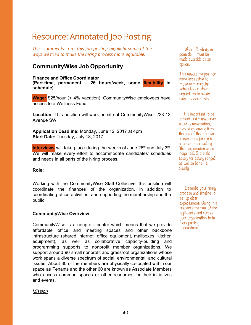## Resource: Annotated Job Posting

*The comments on this job posting highlight some of the ways we tried to make the hiring process more equitable.*

### **CommunityWise Job Opportunity**

**Finance and Office Coordinator (Part-time, permanent – 26 hours/week, some flexibility in schedule)** 

**Wage:** \$25/hour (+ 4% vacation). CommunityWise employees have access to a Wellness Fund

**Location:** This position will work on-site at CommunityWise: 223 12 Avenue SW

**Application Deadline:** Monday, June 12, 2017 at 4pm **Start Date:** Tuesday, July 18, 2017

**Interviews** will take place during the weeks of June 26<sup>th</sup> and July 3<sup>rd</sup>. We will make every effort to accommodate candidates' schedules and needs in all parts of the hiring process.

### **Role:**

Working with the CommunityWise Staff Collective, this position will coordinate the finances of the organization, in addition to coordinating office activities, and supporting the membership and the public.

### **CommunityWise Overview:**

CommunityWise is a nonprofit centre which means that we provide affordable office and meeting spaces and other backbone infrastructure (shared internet, office equipment, mailboxes, kitchen equipment), as well as collaborative capacity-building and programming supports to nonprofit member organizations. We support around 90 small nonprofit and grassroot organizations whose work spans a diverse spectrum of social, environmental, and cultural issues. About 30 of the members are physically co-located within our space as Tenants and the other 60 are known as Associate Members who access common spaces or other resources for their initiatives and events.

### *Mission*

Where flexibility is possible, it must be made available as an option.

This makes the position more accessible to those with irregular schedules or other unpredictable needs (such as care-giving).

It's important to be upfront and transparent about compensation, instead of leaving it to the end of the process or expecting people to negotiate their salary (this perpetuates wage inequities). State the salary (or salary range) as well as benefits clearly.

Describe your hiring process and timeline to set up clear expectations. Doing this respects the time of the applicants and forces your organization to be more publicly accountable.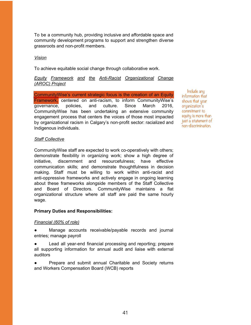To be a community hub, providing inclusive and affordable space and community development programs to support and strengthen diverse grassroots and non-profit members.

#### *Vision*

To achieve equitable social change through collaborative work.

### *Equity Framework and the Anti-Racist Organizational Change (AROC) Project*

CommunityWise's current strategic focus is the creation of an Equity Framework, centered on anti-racism, to inform CommunityWise's governance, policies, and culture. Since March 2016, CommunityWise has been undertaking an extensive community engagement process that centers the voices of those most impacted by organizational racism in Calgary's non-profit sector: racialized and Indigenous individuals.

Include any information that shows that your organization<sup>3</sup>s commitment to equity is more than just a statement of non-discrimination.

#### *Staff Collective*

CommunityWise staff are expected to work co-operatively with others; demonstrate flexibility in organizing work; show a high degree of initiative, discernment and resourcefulness; have effective communication skills; and demonstrate thoughtfulness in decision making. Staff must be willing to work within anti-racist and anti-oppressive frameworks and actively engage in ongoing learning about these frameworks alongside members of the Staff Collective and Board of Directors. CommunityWise maintains a flat organizational structure where all staff are paid the same hourly wage.

### **Primary Duties and Responsibilities:**

### *Financial (60% of role)*

● Manage accounts receivable/payable records and journal entries; manage payroll

Lead all year-end financial processing and reporting; prepare all supporting information for annual audit and liaise with external auditors

● Prepare and submit annual Charitable and Society returns and Workers Compensation Board (WCB) reports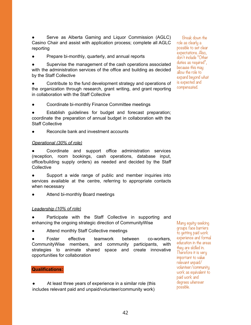Serve as Alberta Gaming and Liquor Commission (AGLC) Casino Chair and assist with application process; complete all AGLC reporting

● Prepare bi-monthly, quarterly, and annual reports

● Supervise the management of the cash operations associated with the administration services of the office and building as decided by the Staff Collective

Contribute to the fund development strategy and operations of the organization through research, grant writing, and grant reporting in collaboration with the Staff Collective

Coordinate bi-monthly Finance Committee meetings

Establish guidelines for budget and forecast preparation; coordinate the preparation of annual budget in collaboration with the Staff Collective

Reconcile bank and investment accounts

#### *Operational (0% of role)*

Coordinate and support office administration services (reception, room bookings, cash operations, database input, office/building supply orders) as needed and decided by the Staff **Collective** 

Support a wide range of public and member inquiries into services available at the centre, referring to appropriate contacts when necessary

Attend bi-monthly Board meetings

### */eadership (0% of role)*

Participate with the Staff Collective in supporting and enhancing the ongoing strategic direction of CommunityWise

Attend monthly Staff Collective meetings

Foster effective teamwork between co-workers, CommunityWise members, and community participants, with strategies to animate shared space and create innovative opportunities for collaboration

#### **4ualifications:**

At least three years of experience in a similar role (this includes relevant paid and unpaid/volunteer/community work)

Break down the role as clearly a possible to set clear expectations. Also, don't include "Other  $d$ uties as required", because this may allow the role to expand beyond what is expected and compensated.

Many equity-seeking groups face barriers to getting paid work experience and formal education in the areas they are skilled in. Therefore it is very important to value relevant unpaid volunteer/community work as equivalent to paid work and degrees wherever possible.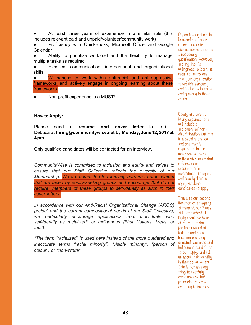At least three years of experience in a similar role (this includes relevant paid and unpaid/volunteer/community work)

Proficiency with QuickBooks, Microsoft Office, and Google Calendar

Ability to prioritize workload and the flexibility to manage multiple tasks as required

Excellent communication, interpersonal and organizational skills

● Willingness to work within anti-racist and anti-oppressive frameworks and actively engage in ongoing learning about these frameworks

Non-profit experience is a MUST!

#### **+ow to Apply:**

Please send a **resume and cover letter** to Lori DeLuca at **hiring#communitywisenet** by **0onday, June 2, 2 at pm**

Only qualified candidates will be contacted for an interview.

*CommunityWise is committed to inclusion and equity and strives to ensure that our Staff Collective reflects the diversity of our Membership. We are committed to removing barriers to employment that are faced by equity-seeking groups and encourage (but do not require)* members of these groups to self-identify as such in their *cover letters.*

*In accordance with our Anti-Racist Organizational Change (AROC) project and the current compositional needs of our Staff Collective, we particularly encourage applications from individuals who self-identify as racialized\* or Indigenous (First Nations, Metis, or Inuit).* 

*\*The term "racialized" is used here instead of the more outdated and inaccurate terms "racial minority", "visible minority", "person of colour", or "non-White".*

Depending on the role, knowledge of antiracism and antioppression may not be a necessary qualification. However, stating that "a willingness to learn" is required reinforces that your organization takes this seriously and is always learning and growing in these areas.

Equity statement: Many organizations will include a statement of nondiscrimination, but this is a passive stance and one that is required by law in most cases. Instead, write a statement that reflects your organization's commitment to equity and clearly directs equity-seeking candidates to apply.

This was our second iteration of an equity statement, but it was still not perfect. It likely should've been at the top of the posting instead of the bottom and should have more clearly directed racialized and Indigenous candidates to both apply and tell us about their identity in their cover letters. This is not an easy thing to tactfully communicate, but practicing it is the only way to improve.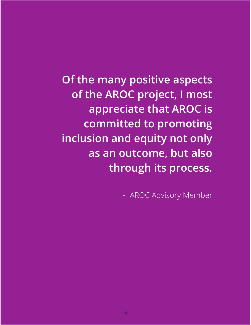**Of the many positive aspects of the AROC project, I most appreciate that AROC is committed to promoting inclusion and equity not only as an outcome, but also through its process.**

- AROC Advisory Member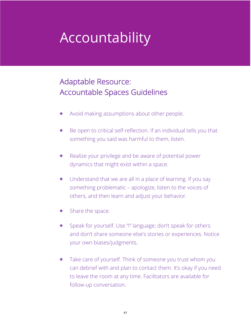# Accountability

# Adaptable Resource: Accountable Spaces Guidelines

- $\star$  Avoid making assumptions about other people.
- $\star$  Be open to critical self-reflection. If an individual tells you that something you said was harmful to them, listen.
- $\star$  Realize your privilege and be aware of potential power dynamics that might exist within a space.
- $\star$  Understand that we are all in a place of learning. If you say something problematic – apologize, listen to the voices of others, and then learn and adjust your behavior.
- $\star$  Share the space.
- \* Speak for yourself. Use "I" language; don't speak for others and don't share someone else's stories or experiences. Notice your own biases/judgments.
- $\star$  Take care of yourself. Think of someone you trust whom you can debrief with and plan to contact them. It's okay if you need to leave the room at any time. Facilitators are available for follow-up conversation.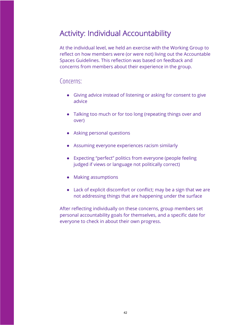## Activity: Individual Accountability

At the individual level, we held an exercise with the Working Group to reflect on how members were (or were not) living out the Accountable Spaces Guidelines. This reflection was based on feedback and concerns from members about their experience in the group.

### Concerns:

- Giving advice instead of listening or asking for consent to give advice
- Talking too much or for too long (repeating things over and over)
- Asking personal questions
- Assuming everyone experiences racism similarly
- Expecting "perfect" politics from everyone (people feeling judged if views or language not politically correct)
- Making assumptions
- Lack of explicit discomfort or conflict; may be a sign that we are not addressing things that are happening under the surface

After reflecting individually on these concerns, group members set personal accountability goals for themselves, and a specific date for everyone to check in about their own progress.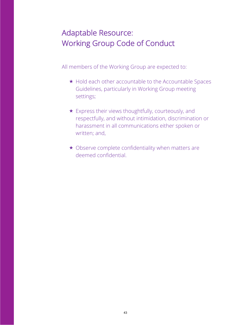# Adaptable Resource: Working Group Code of Conduct

All members of the Working Group are expected to:

- $\star$  Hold each other accountable to the Accountable Spaces Guidelines, particularly in Working Group meeting settings;
- $\star$  Express their views thoughtfully, courteously, and respectfully, and without intimidation, discrimination or harassment in all communications either spoken or written; and,
- $\star$  Observe complete confidentiality when matters are deemed confidential.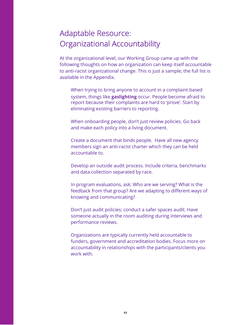## Adaptable Resource: Organizational Accountability

At the organizational level, our Working Group came up with the following thoughts on how an organization can keep itself accountable to anti-racist organizational change. This is just a sample; the full list is available in the Appendix.

When trying to bring anyone to account in a complaint-based system, things like **gaslighting** occur. People become afraid to report because their complaints are hard to 'prove'. Start by eliminating existing barriers to reporting.

When onboarding people, don't just review policies. Go back and make each policy into a living document.

Create a document that binds people. Have all new agency members sign an anti-racist charter which they can be held accountable to.

Develop an outside audit process. Include criteria, benchmarks and data collection separated by race.

In program evaluations, ask: Who are we serving? What is the feedback from that group? Are we adapting to different ways of knowing and communicating?

Don't just audit policies; conduct a safer spaces audit. Have someone actually in the room auditing during interviews and performance reviews.

Organizations are typically currently held accountable to funders, government and accreditation bodies. Focus more on accountability in relationships with the participants/clients you work with.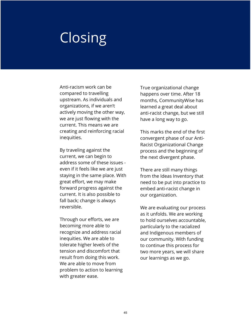# **Closing**

Anti-racism work can be compared to travelling upstream. As individuals and organizations, if we aren't actively moving the other way, we are just flowing with the current. This means we are creating and reinforcing racial inequities.

By traveling against the current, we can begin to address some of these issues even if it feels like we are just staying in the same place. With great effort, we may make forward progress against the current. It is also possible to fall back; change is always reversible.

Through our efforts, we are becoming more able to recognize and address racial inequities. We are able to tolerate higher levels of the tension and discomfort that result from doing this work. We are able to move from problem to action to learning with greater ease.

True organizational change happens over time. After 18 months, CommunityWise has learned a great deal about anti-racist change, but we still have a long way to go.

This marks the end of the first convergent phase of our Anti-Racist Organizational Change process and the beginning of the next divergent phase.

There are still many things from the Ideas Inventory that need to be put into practice to embed anti-racist change in our organization.

We are evaluating our process as it unfolds. We are working to hold ourselves accountable, particularly to the racialized and Indigenous members of our community. With funding to continue this process for two more years, we will share our learnings as we go.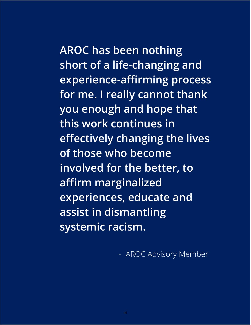**AROC has been nothing short of a life-changing and experience-affirming process for me. I really cannot thank you enough and hope that this work continues in effectively changing the lives of those who become involved for the better, to affirm marginalized** 

**experiences, educate and** 

**assist in dismantling** 

**systemic racism.** 

- AROC Advisory Member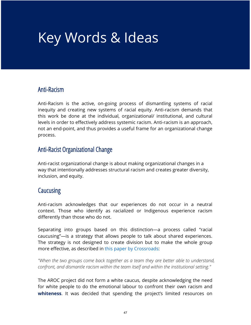# Key Words & Ideas

## Anti-Racism

Anti-Racism is the active, on-going process of dismantling systems of racial inequity and creating new systems of racial equity. Anti-racism demands that this work be done at the individual, organizational/ institutional, and cultural levels in order to effectively address systemic racism. Anti-racism is an approach, not an end-point, and thus provides a useful frame for an organizational change process.

## Anti-Racist Organizational Change

Anti-racist organizational change is about making organizational changes in a way that intentionally addresses structural racism and creates greater diversity, inclusion, and equity.

## **Caucusing**

Anti-racism acknowledges that our experiences do not occur in a neutral context. Those who identify as racialized or Indigenous experience racism differently than those who do not.

Separating into groups based on this distinction—a process called "racial caucusing"—is a strategy that allows people to talk about shared experiences. The strategy is not designed to create division but to make the whole group more effective, as described in this paper by Crossroads:

*"When the two groups come back together as a team they are better able to understand, confront, and dismantle racism within the team itself and within the institutional setting."* 

The AROC project did not form a white caucus, despite acknowledging the need for white people to do the emotional labour to confront their own racism and **whiteness**. It was decided that spending the project's limited resources on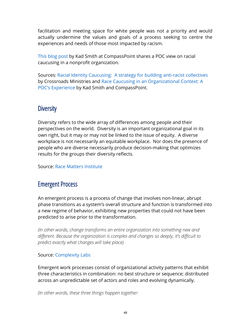facilitation and meeting space for white people was not a priority and would actually undermine the values and goals of a process seeking to centre the experiences and needs of those most impacted by racism.

This blog post by Kad Smith at CompassPoint shares a POC view on racial caucusing in a nonprofit organization.

Sources: Racial Identity Caucusing: A strategy for building anti-racist collectives by Crossroads Ministries and Race Caucusing in an Organizational Context: A POC's Experience by Kad Smith and CompassPoint.

## **Diversity**

Diversity refers to the wide array of differences among people and their perspectives on the world. Diversity is an important organizational goal in its own right, but it may or may not be linked to the issue of equity. A diverse workplace is not necessarily an equitable workplace. Nor does the presence of people who are diverse necessarily produce decision-making that optimizes results for the groups their diversity reflects.

Source: Race Matters Institute

## Emergent Process

An emergent process is a process of change that involves non-linear, abrupt phase transitions as a system's overall structure and function is transformed into a new regime of behavior, exhibiting new properties that could not have been predicted to arise prior to the transformation.

*(In other words, change transforms an entire organization into something new and different. Because the organization is complex and changes so deeply, it's difficult to predict exactly what changes will take place).* 

### Source: Complexity Labs

Emergent work processes consist of organizational activity patterns that exhibit three characteristics in combination: no best structure or sequence; distributed across an unpredictable set of actors and roles and evolving dynamically.

*(In other words, these three things happen together:*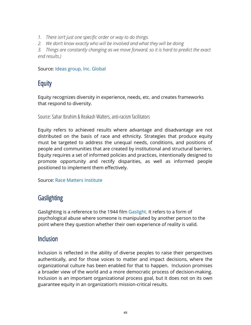- *1. There isn't just one specific order or way to do things.*
- *2. We don't know exactly who will be involved and what they will be doing*

*3. Things are constantly changing as we move forward, so it is hard to predict the exact end results.)*

Source: Ideas group, Inc. Global

## **Equity**

Equity recognizes diversity in experience, needs, etc. and creates frameworks that respond to diversity.

Source: Sahar Ibrahim & Reakash Walters, anti-racism facilitators

Equity refers to achieved results where advantage and disadvantage are not distributed on the basis of race and ethnicity. Strategies that produce equity must be targeted to address the unequal needs, conditions, and positions of people and communities that are created by institutional and structural barriers. Equity requires a set of informed policies and practices, intentionally designed to promote opportunity and rectify disparities, as well as informed people positioned to implement them effectively.

Source: Race Matters Institute

## **Gaslighting**

Gaslighting is a reference to the 1944 film Gaslight. It refers to a form of psychological abuse where someone is manipulated by another person to the point where they question whether their own experience of reality is valid.

## **Inclusion**

Inclusion is reflected in the ability of diverse peoples to raise their perspectives authentically, and for those voices to matter and impact decisions, where the organizational culture has been enabled for that to happen. Inclusion promises a broader view of the world and a more democratic process of decision-making. Inclusion is an important organizational process goal, but it does not on its own guarantee equity in an organization's mission-critical results.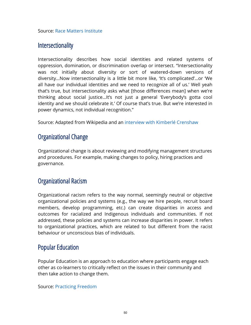Source: Race Matters Institute

## **Intersectionality**

Intersectionality describes how social identities and related systems of oppression, domination, or discrimination overlap or intersect. "Intersectionality was not initially about diversity or sort of watered-down versions of diversity…Now intersectionality is a little bit more like, 'It's complicated'…or 'We all have our individual identities and we need to recognize all of us.' Well yeah that's true, but intersectionality asks what [those differences mean] when we're thinking about social justice…It's not just a general 'Everybody's gotta cool identity and we should celebrate it.' Of course that's true. But we're interested in power dynamics, not individual recognition."

Source: Adapted from Wikipedia and an interview with Kimberlé Crenshaw

## Organizational Change

Organizational change is about reviewing and modifying management structures and procedures. For example, making changes to policy, hiring practices and governance.

## Organizational Racism

Organizational racism refers to the way normal, seemingly neutral or objective organizational policies and systems (e.g., the way we hire people, recruit board members, develop programming, etc.) can create disparities in access and outcomes for racialized and Indigenous individuals and communities. If not addressed, these policies and systems can increase disparities in power. It refers to organizational practices, which are related to but different from the racist behaviour or unconscious bias of individuals.

## Popular Education

Popular Education is an approach to education where participants engage each other as co-learners to critically reflect on the issues in their community and then take action to change them.

Source: Practicing Freedom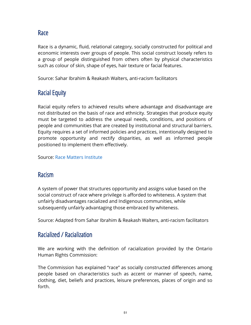Race

Race is a dynamic, fluid, relational category, socially constructed for political and economic interests over groups of people. This social construct loosely refers to a group of people distinguished from others often by physical characteristics such as colour of skin, shape of eyes, hair texture or facial features.

Source: Sahar Ibrahim & Reakash Walters, anti-racism facilitators

## Racial Equity

Racial equity refers to achieved results where advantage and disadvantage are not distributed on the basis of race and ethnicity. Strategies that produce equity must be targeted to address the unequal needs, conditions, and positions of people and communities that are created by institutional and structural barriers. Equity requires a set of informed policies and practices, intentionally designed to promote opportunity and rectify disparities, as well as informed people positioned to implement them effectively.

Source: Race Matters Institute

## Racism

A system of power that structures opportunity and assigns value based on the social construct of race where privilege is afforded to whiteness. A system that unfairly disadvantages racialized and Indigenous communities, while subsequently unfairly advantaging those embraced by whiteness.

Source: Adapted from Sahar Ibrahim & Reakash Walters, anti-racism facilitators

## Racialized / Racialization

We are working with the definition of racialization provided by the Ontario Human Rights Commission:

The Commission has explained "race" as socially constructed differences among people based on characteristics such as accent or manner of speech, name, clothing, diet, beliefs and practices, leisure preferences, places of origin and so forth.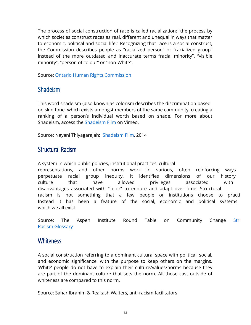The process of social construction of race is called racialization: "the process by which societies construct races as real, different and unequal in ways that matter to economic, political and social life." Recognizing that race is a social construct, the Commission describes people as "racialized person" or "racialized group" instead of the more outdated and inaccurate terms "racial minority". "visible minority", "person of colour" or "non-White".

Source: Ontario Human Rights Commission

## Shadeism

This word shadeism (also known as colorism describes the discrimination based on skin tone, which exists amongst members of the same community, creating a ranking of a person's individual worth based on shade. For more about Shadeism, access the Shadeism Film on Vimeo.

Source: Nayani Thiyagarajah; Shadeism Film, 2014

## Structural Racism

A system in which public policies, institutional practices, cultural representations, and other norms work in various, often reinforcing ways perpetuate racial group inequity. It identifies dimensions of our history culture that have allowed privileges associated with disadvantages associated with "color" to endure and adapt over time. Structural racism is not something that a few people or institutions choose to practi Instead it has been a feature of the social, economic and political systems which we all exist.

Source: The Aspen Institute Round Table on Community Change Stru Racism Glossary

## **Whiteness**

A social construction referring to a dominant cultural space with political, social, and economic significance, with the purpose to keep others on the margins. 'White' people do not have to explain their culture/values/norms because they are part of the dominant culture that sets the norm. All those cast outside of whiteness are compared to this norm.

Source: Sahar Ibrahim & Reakash Walters, anti-racism facilitators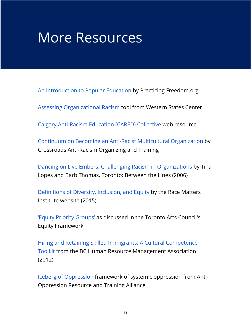# More Resources

An Introduction to Popular Education by Practicing Freedom.org

Assessing Organizational Racism tool from Western States Center

Calgary Anti-Racism Education (CARED) Collective web resource

Continuum on Becoming an Anti-Racist Multicultural Organization by Crossroads Anti-Racism Organizing and Training

Dancing on Live Embers: Challenging Racism in Organizations by Tina Lopes and Barb Thomas. Toronto: Between the Lines (2006)

Definitions of Diversity, Inclusion, and Equity by the Race Matters Institute website (2015)

'Equity Priority Groups' as discussed in the Toronto Arts Council's Equity Framework

Hiring and Retaining Skilled Immigrants: A Cultural Competence Toolkit from the BC Human Resource Management Association (2012)

Iceberg of Oppression framework of systemic oppression from Anti-Oppression Resource and Training Alliance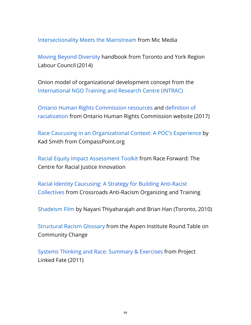Intersectionality Meets the Mainstream from Mic Media

Moving Beyond Diversity handbook from Toronto and York Region Labour Council (2014)

Onion model of organizational development concept from the International NGO Training and Research Centre (INTRAC)

Ontario Human Rights Commission resources and definition of racialization from Ontario Human Rights Commission website (2017)

Race Caucusing in an Organizational Context: A POC's Experience by Kad Smith from CompassPoint.org

Racial Equity Impact Assessment Toolkit from Race Forward: The Centre for Racial Justice Innovation

Racial Identity Caucusing: A Strategy for Building Anti-Racist Collectives from Crossroads Anti-Racism Organizing and Training

Shadeism Film by Nayani Thiyaharajah and Brian Han (Toronto, 2010)

Structural Racism Glossary from the Aspen Institute Round Table on Community Change

Systems Thinking and Race: Summary & Exercises from Project Linked Fate (2011)